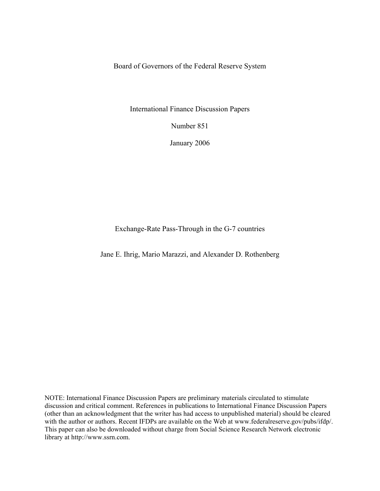Board of Governors of the Federal Reserve System

International Finance Discussion Papers

Number 851

January 2006

Exchange-Rate Pass-Through in the G-7 countries

Jane E. Ihrig, Mario Marazzi, and Alexander D. Rothenberg

NOTE: International Finance Discussion Papers are preliminary materials circulated to stimulate discussion and critical comment. References in publications to International Finance Discussion Papers (other than an acknowledgment that the writer has had access to unpublished material) should be cleared with the author or authors. Recent IFDPs are available on the Web at www.federalreserve.gov/pubs/ifdp/. This paper can also be downloaded without charge from Social Science Research Network electronic library at http://www.ssrn.com.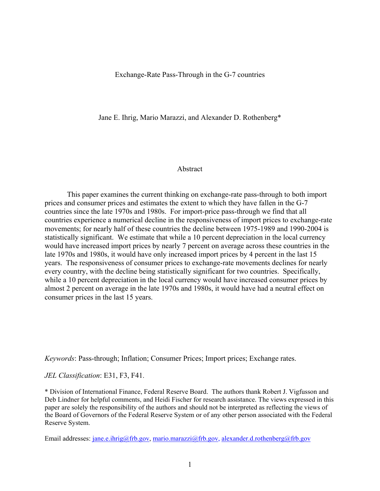Exchange-Rate Pass-Through in the G-7 countries

Jane E. Ihrig, Mario Marazzi, and Alexander D. Rothenberg\*

### Abstract

This paper examines the current thinking on exchange-rate pass-through to both import prices and consumer prices and estimates the extent to which they have fallen in the G-7 countries since the late 1970s and 1980s. For import-price pass-through we find that all countries experience a numerical decline in the responsiveness of import prices to exchange-rate movements; for nearly half of these countries the decline between 1975-1989 and 1990-2004 is statistically significant. We estimate that while a 10 percent depreciation in the local currency would have increased import prices by nearly 7 percent on average across these countries in the late 1970s and 1980s, it would have only increased import prices by 4 percent in the last 15 years. The responsiveness of consumer prices to exchange-rate movements declines for nearly every country, with the decline being statistically significant for two countries. Specifically, while a 10 percent depreciation in the local currency would have increased consumer prices by almost 2 percent on average in the late 1970s and 1980s, it would have had a neutral effect on consumer prices in the last 15 years.

*Keywords*: Pass-through; Inflation; Consumer Prices; Import prices; Exchange rates.

*JEL Classification*: E31, F3, F41.

\* Division of International Finance, Federal Reserve Board. The authors thank Robert J. Vigfusson and Deb Lindner for helpful comments, and Heidi Fischer for research assistance. The views expressed in this paper are solely the responsibility of the authors and should not be interpreted as reflecting the views of the Board of Governors of the Federal Reserve System or of any other person associated with the Federal Reserve System.

Email addresses: <u>jane.e.ihrig@frb.gov, mario.marazzi@frb.gov, alexander.d.rothenberg</u>@frb.gov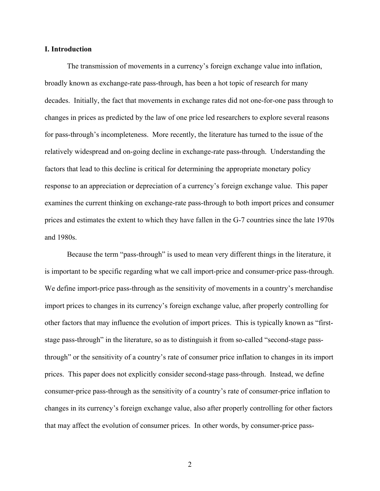### **I. Introduction**

The transmission of movements in a currency's foreign exchange value into inflation, broadly known as exchange-rate pass-through, has been a hot topic of research for many decades. Initially, the fact that movements in exchange rates did not one-for-one pass through to changes in prices as predicted by the law of one price led researchers to explore several reasons for pass-through's incompleteness. More recently, the literature has turned to the issue of the relatively widespread and on-going decline in exchange-rate pass-through. Understanding the factors that lead to this decline is critical for determining the appropriate monetary policy response to an appreciation or depreciation of a currency's foreign exchange value. This paper examines the current thinking on exchange-rate pass-through to both import prices and consumer prices and estimates the extent to which they have fallen in the G-7 countries since the late 1970s and 1980s.

Because the term "pass-through" is used to mean very different things in the literature, it is important to be specific regarding what we call import-price and consumer-price pass-through. We define import-price pass-through as the sensitivity of movements in a country's merchandise import prices to changes in its currency's foreign exchange value, after properly controlling for other factors that may influence the evolution of import prices. This is typically known as "firststage pass-through" in the literature, so as to distinguish it from so-called "second-stage passthrough" or the sensitivity of a country's rate of consumer price inflation to changes in its import prices. This paper does not explicitly consider second-stage pass-through. Instead, we define consumer-price pass-through as the sensitivity of a country's rate of consumer-price inflation to changes in its currency's foreign exchange value, also after properly controlling for other factors that may affect the evolution of consumer prices. In other words, by consumer-price pass-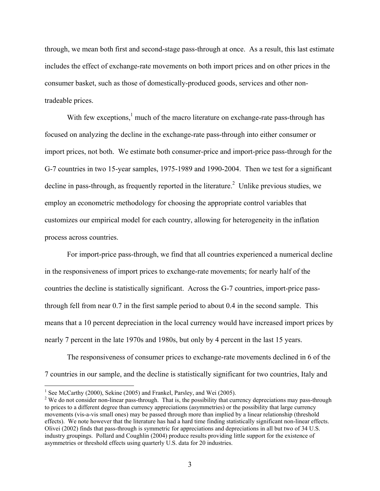through, we mean both first and second-stage pass-through at once. As a result, this last estimate includes the effect of exchange-rate movements on both import prices and on other prices in the consumer basket, such as those of domestically-produced goods, services and other nontradeable prices.

With few exceptions, $<sup>1</sup>$  much of the macro literature on exchange-rate pass-through has</sup> focused on analyzing the decline in the exchange-rate pass-through into either consumer or import prices, not both. We estimate both consumer-price and import-price pass-through for the G-7 countries in two 15-year samples, 1975-1989 and 1990-2004. Then we test for a significant decline in pass-through, as frequently reported in the literature.<sup>2</sup> Unlike previous studies, we employ an econometric methodology for choosing the appropriate control variables that customizes our empirical model for each country, allowing for heterogeneity in the inflation process across countries.

For import-price pass-through, we find that all countries experienced a numerical decline in the responsiveness of import prices to exchange-rate movements; for nearly half of the countries the decline is statistically significant. Across the G-7 countries, import-price passthrough fell from near 0.7 in the first sample period to about 0.4 in the second sample. This means that a 10 percent depreciation in the local currency would have increased import prices by nearly 7 percent in the late 1970s and 1980s, but only by 4 percent in the last 15 years.

The responsiveness of consumer prices to exchange-rate movements declined in 6 of the 7 countries in our sample, and the decline is statistically significant for two countries, Italy and

<sup>&</sup>lt;sup>1</sup> See McCarthy (2000), Sekine (2005) and Frankel, Parsley, and Wei (2005).

 $2^2$  We do not consider non-linear pass-through. That is, the possibility that currency depreciations may pass-through to prices to a different degree than currency appreciations (asymmetries) or the possibility that large currency movements (vis-a-vis small ones) may be passed through more than implied by a linear relationship (threshold effects). We note however that the literature has had a hard time finding statistically significant non-linear effects. Olivei (2002) finds that pass-through is symmetric for appreciations and depreciations in all but two of 34 U.S. industry groupings. Pollard and Coughlin (2004) produce results providing little support for the existence of asymmetries or threshold effects using quarterly U.S. data for 20 industries.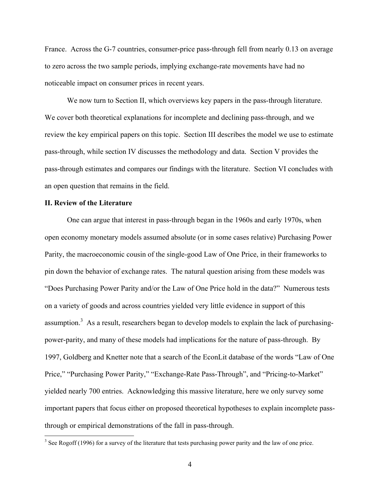France. Across the G-7 countries, consumer-price pass-through fell from nearly 0.13 on average to zero across the two sample periods, implying exchange-rate movements have had no noticeable impact on consumer prices in recent years.

We now turn to Section II, which overviews key papers in the pass-through literature. We cover both theoretical explanations for incomplete and declining pass-through, and we review the key empirical papers on this topic. Section III describes the model we use to estimate pass-through, while section IV discusses the methodology and data. Section V provides the pass-through estimates and compares our findings with the literature. Section VI concludes with an open question that remains in the field.

### **II. Review of the Literature**

 $\overline{a}$ 

One can argue that interest in pass-through began in the 1960s and early 1970s, when open economy monetary models assumed absolute (or in some cases relative) Purchasing Power Parity, the macroeconomic cousin of the single-good Law of One Price, in their frameworks to pin down the behavior of exchange rates. The natural question arising from these models was "Does Purchasing Power Parity and/or the Law of One Price hold in the data?" Numerous tests on a variety of goods and across countries yielded very little evidence in support of this assumption.<sup>3</sup> As a result, researchers began to develop models to explain the lack of purchasingpower-parity, and many of these models had implications for the nature of pass-through. By 1997, Goldberg and Knetter note that a search of the EconLit database of the words "Law of One Price," "Purchasing Power Parity," "Exchange-Rate Pass-Through", and "Pricing-to-Market" yielded nearly 700 entries. Acknowledging this massive literature, here we only survey some important papers that focus either on proposed theoretical hypotheses to explain incomplete passthrough or empirical demonstrations of the fall in pass-through.

 $3$  See Rogoff (1996) for a survey of the literature that tests purchasing power parity and the law of one price.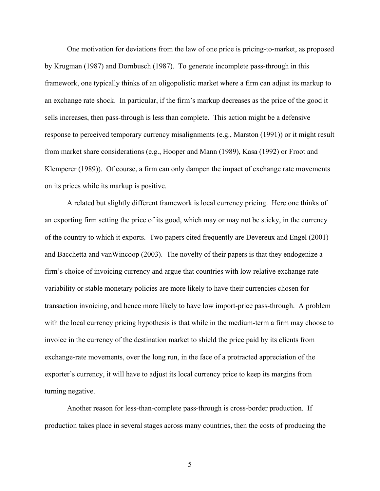One motivation for deviations from the law of one price is pricing-to-market, as proposed by Krugman (1987) and Dornbusch (1987). To generate incomplete pass-through in this framework, one typically thinks of an oligopolistic market where a firm can adjust its markup to an exchange rate shock. In particular, if the firm's markup decreases as the price of the good it sells increases, then pass-through is less than complete. This action might be a defensive response to perceived temporary currency misalignments (e.g., Marston (1991)) or it might result from market share considerations (e.g., Hooper and Mann (1989), Kasa (1992) or Froot and Klemperer (1989)). Of course, a firm can only dampen the impact of exchange rate movements on its prices while its markup is positive.

A related but slightly different framework is local currency pricing. Here one thinks of an exporting firm setting the price of its good, which may or may not be sticky, in the currency of the country to which it exports. Two papers cited frequently are Devereux and Engel (2001) and Bacchetta and vanWincoop (2003). The novelty of their papers is that they endogenize a firm's choice of invoicing currency and argue that countries with low relative exchange rate variability or stable monetary policies are more likely to have their currencies chosen for transaction invoicing, and hence more likely to have low import-price pass-through. A problem with the local currency pricing hypothesis is that while in the medium-term a firm may choose to invoice in the currency of the destination market to shield the price paid by its clients from exchange-rate movements, over the long run, in the face of a protracted appreciation of the exporter's currency, it will have to adjust its local currency price to keep its margins from turning negative.

Another reason for less-than-complete pass-through is cross-border production. If production takes place in several stages across many countries, then the costs of producing the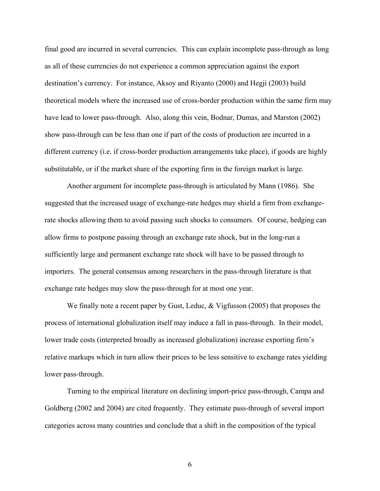final good are incurred in several currencies. This can explain incomplete pass-through as long as all of these currencies do not experience a common appreciation against the export destination's currency. For instance, Aksoy and Riyanto (2000) and Hegji (2003) build theoretical models where the increased use of cross-border production within the same firm may have lead to lower pass-through. Also, along this vein, Bodnar, Dumas, and Marston (2002) show pass-through can be less than one if part of the costs of production are incurred in a different currency (i.e. if cross-border production arrangements take place), if goods are highly substitutable, or if the market share of the exporting firm in the foreign market is large.

Another argument for incomplete pass-through is articulated by Mann (1986). She suggested that the increased usage of exchange-rate hedges may shield a firm from exchangerate shocks allowing them to avoid passing such shocks to consumers. Of course, hedging can allow firms to postpone passing through an exchange rate shock, but in the long-run a sufficiently large and permanent exchange rate shock will have to be passed through to importers. The general consensus among researchers in the pass-through literature is that exchange rate hedges may slow the pass-through for at most one year.

We finally note a recent paper by Gust, Leduc, & Vigfusson (2005) that proposes the process of international globalization itself may induce a fall in pass-through. In their model, lower trade costs (interpreted broadly as increased globalization) increase exporting firm's relative markups which in turn allow their prices to be less sensitive to exchange rates yielding lower pass-through.

 Turning to the empirical literature on declining import-price pass-through, Campa and Goldberg (2002 and 2004) are cited frequently. They estimate pass-through of several import categories across many countries and conclude that a shift in the composition of the typical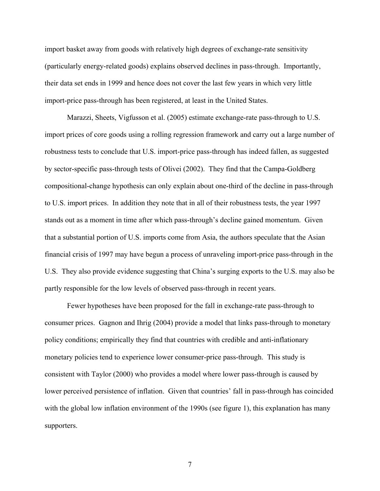import basket away from goods with relatively high degrees of exchange-rate sensitivity (particularly energy-related goods) explains observed declines in pass-through. Importantly, their data set ends in 1999 and hence does not cover the last few years in which very little import-price pass-through has been registered, at least in the United States.

Marazzi, Sheets, Vigfusson et al. (2005) estimate exchange-rate pass-through to U.S. import prices of core goods using a rolling regression framework and carry out a large number of robustness tests to conclude that U.S. import-price pass-through has indeed fallen, as suggested by sector-specific pass-through tests of Olivei (2002). They find that the Campa-Goldberg compositional-change hypothesis can only explain about one-third of the decline in pass-through to U.S. import prices. In addition they note that in all of their robustness tests, the year 1997 stands out as a moment in time after which pass-through's decline gained momentum. Given that a substantial portion of U.S. imports come from Asia, the authors speculate that the Asian financial crisis of 1997 may have begun a process of unraveling import-price pass-through in the U.S. They also provide evidence suggesting that China's surging exports to the U.S. may also be partly responsible for the low levels of observed pass-through in recent years.

Fewer hypotheses have been proposed for the fall in exchange-rate pass-through to consumer prices. Gagnon and Ihrig (2004) provide a model that links pass-through to monetary policy conditions; empirically they find that countries with credible and anti-inflationary monetary policies tend to experience lower consumer-price pass-through. This study is consistent with Taylor (2000) who provides a model where lower pass-through is caused by lower perceived persistence of inflation. Given that countries' fall in pass-through has coincided with the global low inflation environment of the 1990s (see figure 1), this explanation has many supporters.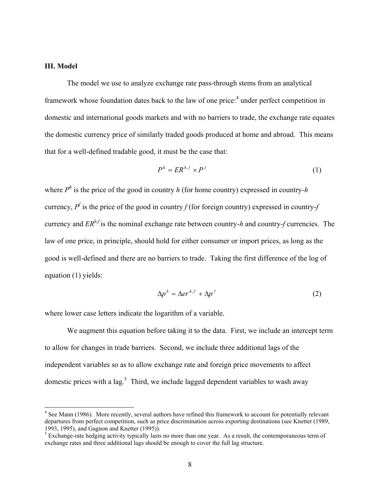### **III. Model**

 $\overline{a}$ 

 The model we use to analyze exchange rate pass-through stems from an analytical framework whose foundation dates back to the law of one price:<sup>4</sup> under perfect competition in domestic and international goods markets and with no barriers to trade, the exchange rate equates the domestic currency price of similarly traded goods produced at home and abroad. This means that for a well-defined tradable good, it must be the case that:

$$
P^h = ER^{h,f} \times P^f \tag{1}
$$

where  $P<sup>h</sup>$  is the price of the good in country *h* (for home country) expressed in country-*h* currency,  $P^f$  is the price of the good in country *f* (for foreign country) expressed in country-*f* currency and  $ER^{h,f}$  is the nominal exchange rate between country-*h* and country-*f* currencies. The law of one price, in principle, should hold for either consumer or import prices, as long as the good is well-defined and there are no barriers to trade. Taking the first difference of the log of equation (1) yields:

$$
\Delta p^h = \Delta er^{h,f} + \Delta p^f \tag{2}
$$

where lower case letters indicate the logarithm of a variable.

 We augment this equation before taking it to the data. First, we include an intercept term to allow for changes in trade barriers. Second, we include three additional lags of the independent variables so as to allow exchange rate and foreign price movements to affect domestic prices with a lag.<sup>5</sup> Third, we include lagged dependent variables to wash away

<sup>&</sup>lt;sup>4</sup> See Mann (1986). More recently, several authors have refined this framework to account for potentially relevant departures from perfect competition, such as price discrimination across exporting destinations (see Knetter (1989, 1993, 1995), and Gagnon and Knetter (1995)).

<sup>&</sup>lt;sup>5</sup> Exchange-rate hedging activity typically lasts no more than one year. As a result, the contemporaneous term of exchange rates and three additional lags should be enough to cover the full lag structure.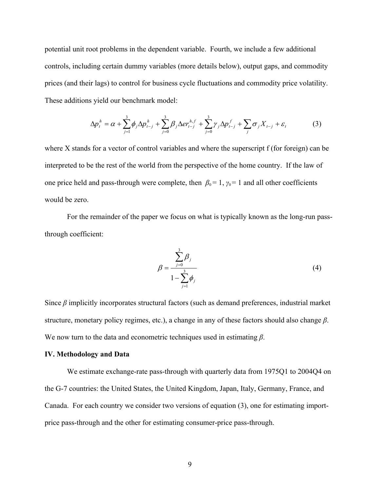potential unit root problems in the dependent variable. Fourth, we include a few additional controls, including certain dummy variables (more details below), output gaps, and commodity prices (and their lags) to control for business cycle fluctuations and commodity price volatility. These additions yield our benchmark model:

$$
\Delta p_t^h = \alpha + \sum_{j=1}^3 \phi_j \Delta p_{t-j}^h + \sum_{j=0}^3 \beta_j \Delta e r_{t-j}^{h,f} + \sum_{j=0}^3 \gamma_j \Delta p_{t-j}^f + \sum_j \sigma_j X_{t-j} + \varepsilon_t
$$
(3)

where X stands for a vector of control variables and where the superscript f (for foreign) can be interpreted to be the rest of the world from the perspective of the home country. If the law of one price held and pass-through were complete, then  $\beta_0 = 1$ ,  $\gamma_0 = 1$  and all other coefficients would be zero.

For the remainder of the paper we focus on what is typically known as the long-run passthrough coefficient:

$$
\beta = \frac{\sum_{j=0}^{3} \beta_j}{1 - \sum_{j=1}^{3} \phi_j}
$$
\n(4)

Since *β* implicitly incorporates structural factors (such as demand preferences, industrial market structure, monetary policy regimes, etc.), a change in any of these factors should also change *β*. We now turn to the data and econometric techniques used in estimating *β*.

### **IV. Methodology and Data**

 We estimate exchange-rate pass-through with quarterly data from 1975Q1 to 2004Q4 on the G-7 countries: the United States, the United Kingdom, Japan, Italy, Germany, France, and Canada. For each country we consider two versions of equation (3), one for estimating importprice pass-through and the other for estimating consumer-price pass-through.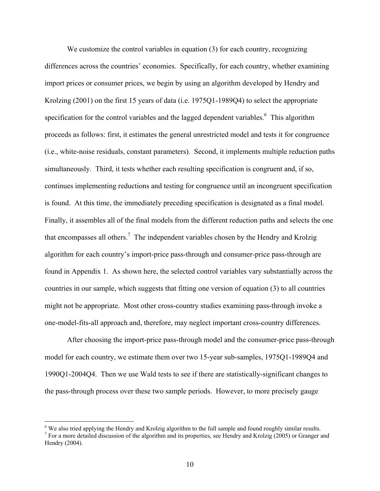We customize the control variables in equation (3) for each country, recognizing differences across the countries' economies. Specifically, for each country, whether examining import prices or consumer prices, we begin by using an algorithm developed by Hendry and Krolzing (2001) on the first 15 years of data (i.e. 1975Q1-1989Q4) to select the appropriate specification for the control variables and the lagged dependent variables. $6$  This algorithm proceeds as follows: first, it estimates the general unrestricted model and tests it for congruence (i.e., white-noise residuals, constant parameters). Second, it implements multiple reduction paths simultaneously. Third, it tests whether each resulting specification is congruent and, if so, continues implementing reductions and testing for congruence until an incongruent specification is found. At this time, the immediately preceding specification is designated as a final model. Finally, it assembles all of the final models from the different reduction paths and selects the one that encompasses all others.<sup>7</sup> The independent variables chosen by the Hendry and Krolzig algorithm for each country's import-price pass-through and consumer-price pass-through are found in Appendix 1. As shown here, the selected control variables vary substantially across the countries in our sample, which suggests that fitting one version of equation (3) to all countries might not be appropriate. Most other cross-country studies examining pass-through invoke a one-model-fits-all approach and, therefore, may neglect important cross-country differences.

After choosing the import-price pass-through model and the consumer-price pass-through model for each country, we estimate them over two 15-year sub-samples, 1975Q1-1989Q4 and 1990Q1-2004Q4. Then we use Wald tests to see if there are statistically-significant changes to the pass-through process over these two sample periods. However, to more precisely gauge

 $\overline{a}$ 

<sup>&</sup>lt;sup>6</sup> We also tried applying the Hendry and Krolzig algorithm to the full sample and found roughly similar results.

 $^7$  For a more detailed discussion of the algorithm and its properties, see Hendry and Krolzig (2005) or Granger and Hendry (2004).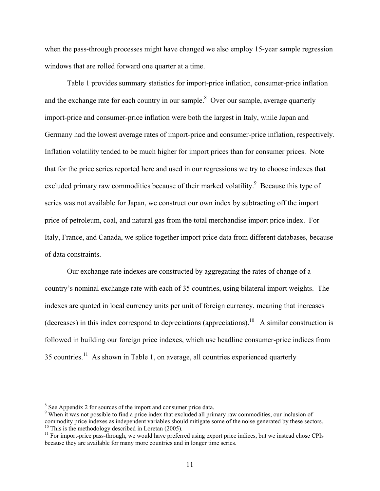when the pass-through processes might have changed we also employ 15-year sample regression windows that are rolled forward one quarter at a time.

Table 1 provides summary statistics for import-price inflation, consumer-price inflation and the exchange rate for each country in our sample.<sup>8</sup> Over our sample, average quarterly import-price and consumer-price inflation were both the largest in Italy, while Japan and Germany had the lowest average rates of import-price and consumer-price inflation, respectively. Inflation volatility tended to be much higher for import prices than for consumer prices. Note that for the price series reported here and used in our regressions we try to choose indexes that excluded primary raw commodities because of their marked volatility.<sup>9</sup> Because this type of series was not available for Japan, we construct our own index by subtracting off the import price of petroleum, coal, and natural gas from the total merchandise import price index. For Italy, France, and Canada, we splice together import price data from different databases, because of data constraints.

 Our exchange rate indexes are constructed by aggregating the rates of change of a country's nominal exchange rate with each of 35 countries, using bilateral import weights. The indexes are quoted in local currency units per unit of foreign currency, meaning that increases (decreases) in this index correspond to depreciations (appreciations).<sup>10</sup> A similar construction is followed in building our foreign price indexes, which use headline consumer-price indices from 35 countries.11 As shown in Table 1, on average, all countries experienced quarterly

<sup>&</sup>lt;sup>8</sup> See Appendix 2 for sources of the import and consumer price data.

<sup>&</sup>lt;sup>9</sup> When it was not possible to find a price index that excluded all primary raw commodities, our inclusion of commodity price indexes as independent variables should mitigate some of the noise generated by these sectors.  $10$  This is the methodology described in Loretan (2005).

<sup>&</sup>lt;sup>11</sup> For import-price pass-through, we would have preferred using export price indices, but we instead chose CPIs because they are available for many more countries and in longer time series.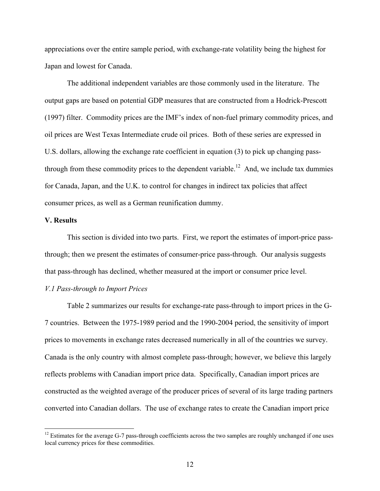appreciations over the entire sample period, with exchange-rate volatility being the highest for Japan and lowest for Canada.

 The additional independent variables are those commonly used in the literature. The output gaps are based on potential GDP measures that are constructed from a Hodrick-Prescott (1997) filter. Commodity prices are the IMF's index of non-fuel primary commodity prices, and oil prices are West Texas Intermediate crude oil prices. Both of these series are expressed in U.S. dollars, allowing the exchange rate coefficient in equation (3) to pick up changing passthrough from these commodity prices to the dependent variable.<sup>12</sup> And, we include tax dummies for Canada, Japan, and the U.K. to control for changes in indirect tax policies that affect consumer prices, as well as a German reunification dummy.

### **V. Results**

1

 This section is divided into two parts. First, we report the estimates of import-price passthrough; then we present the estimates of consumer-price pass-through. Our analysis suggests that pass-through has declined, whether measured at the import or consumer price level.

### *V.1 Pass-through to Import Prices*

 Table 2 summarizes our results for exchange-rate pass-through to import prices in the G-7 countries. Between the 1975-1989 period and the 1990-2004 period, the sensitivity of import prices to movements in exchange rates decreased numerically in all of the countries we survey. Canada is the only country with almost complete pass-through; however, we believe this largely reflects problems with Canadian import price data. Specifically, Canadian import prices are constructed as the weighted average of the producer prices of several of its large trading partners converted into Canadian dollars. The use of exchange rates to create the Canadian import price

 $12$  Estimates for the average G-7 pass-through coefficients across the two samples are roughly unchanged if one uses local currency prices for these commodities.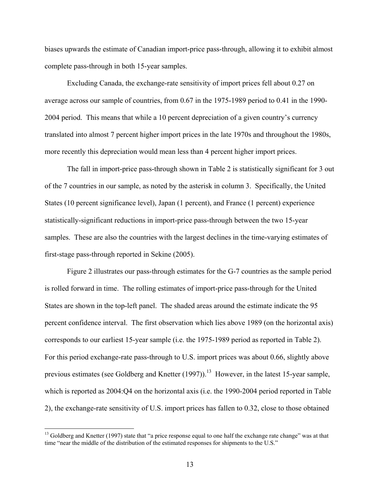biases upwards the estimate of Canadian import-price pass-through, allowing it to exhibit almost complete pass-through in both 15-year samples.

Excluding Canada, the exchange-rate sensitivity of import prices fell about 0.27 on average across our sample of countries, from 0.67 in the 1975-1989 period to 0.41 in the 1990- 2004 period. This means that while a 10 percent depreciation of a given country's currency translated into almost 7 percent higher import prices in the late 1970s and throughout the 1980s, more recently this depreciation would mean less than 4 percent higher import prices.

 The fall in import-price pass-through shown in Table 2 is statistically significant for 3 out of the 7 countries in our sample, as noted by the asterisk in column 3. Specifically, the United States (10 percent significance level), Japan (1 percent), and France (1 percent) experience statistically-significant reductions in import-price pass-through between the two 15-year samples. These are also the countries with the largest declines in the time-varying estimates of first-stage pass-through reported in Sekine (2005).

 Figure 2 illustrates our pass-through estimates for the G-7 countries as the sample period is rolled forward in time. The rolling estimates of import-price pass-through for the United States are shown in the top-left panel. The shaded areas around the estimate indicate the 95 percent confidence interval. The first observation which lies above 1989 (on the horizontal axis) corresponds to our earliest 15-year sample (i.e. the 1975-1989 period as reported in Table 2). For this period exchange-rate pass-through to U.S. import prices was about 0.66, slightly above previous estimates (see Goldberg and Knetter  $(1997)$ ).<sup>13</sup> However, in the latest 15-year sample, which is reported as 2004:Q4 on the horizontal axis (i.e. the 1990-2004 period reported in Table 2), the exchange-rate sensitivity of U.S. import prices has fallen to 0.32, close to those obtained

 $\overline{a}$ 

<sup>&</sup>lt;sup>13</sup> Goldberg and Knetter (1997) state that "a price response equal to one half the exchange rate change" was at that time "near the middle of the distribution of the estimated responses for shipments to the U.S."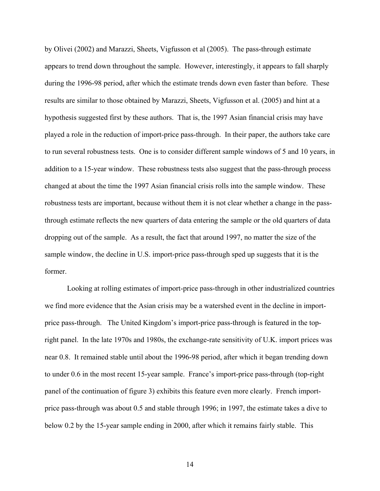by Olivei (2002) and Marazzi, Sheets, Vigfusson et al (2005). The pass-through estimate appears to trend down throughout the sample. However, interestingly, it appears to fall sharply during the 1996-98 period, after which the estimate trends down even faster than before. These results are similar to those obtained by Marazzi, Sheets, Vigfusson et al. (2005) and hint at a hypothesis suggested first by these authors. That is, the 1997 Asian financial crisis may have played a role in the reduction of import-price pass-through. In their paper, the authors take care to run several robustness tests. One is to consider different sample windows of 5 and 10 years, in addition to a 15-year window. These robustness tests also suggest that the pass-through process changed at about the time the 1997 Asian financial crisis rolls into the sample window. These robustness tests are important, because without them it is not clear whether a change in the passthrough estimate reflects the new quarters of data entering the sample or the old quarters of data dropping out of the sample. As a result, the fact that around 1997, no matter the size of the sample window, the decline in U.S. import-price pass-through sped up suggests that it is the former.

Looking at rolling estimates of import-price pass-through in other industrialized countries we find more evidence that the Asian crisis may be a watershed event in the decline in importprice pass-through. The United Kingdom's import-price pass-through is featured in the topright panel. In the late 1970s and 1980s, the exchange-rate sensitivity of U.K. import prices was near 0.8. It remained stable until about the 1996-98 period, after which it began trending down to under 0.6 in the most recent 15-year sample. France's import-price pass-through (top-right panel of the continuation of figure 3) exhibits this feature even more clearly. French importprice pass-through was about 0.5 and stable through 1996; in 1997, the estimate takes a dive to below 0.2 by the 15-year sample ending in 2000, after which it remains fairly stable. This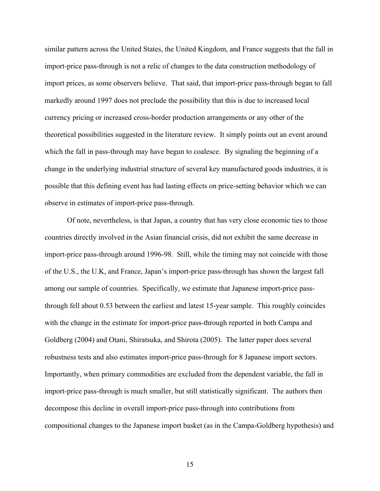similar pattern across the United States, the United Kingdom, and France suggests that the fall in import-price pass-through is not a relic of changes to the data construction methodology of import prices, as some observers believe. That said, that import-price pass-through began to fall markedly around 1997 does not preclude the possibility that this is due to increased local currency pricing or increased cross-border production arrangements or any other of the theoretical possibilities suggested in the literature review. It simply points out an event around which the fall in pass-through may have begun to coalesce. By signaling the beginning of a change in the underlying industrial structure of several key manufactured goods industries, it is possible that this defining event has had lasting effects on price-setting behavior which we can observe in estimates of import-price pass-through.

Of note, nevertheless, is that Japan, a country that has very close economic ties to those countries directly involved in the Asian financial crisis, did not exhibit the same decrease in import-price pass-through around 1996-98. Still, while the timing may not coincide with those of the U.S., the U.K, and France, Japan's import-price pass-through has shown the largest fall among our sample of countries. Specifically, we estimate that Japanese import-price passthrough fell about 0.53 between the earliest and latest 15-year sample. This roughly coincides with the change in the estimate for import-price pass-through reported in both Campa and Goldberg (2004) and Otani, Shiratsuka, and Shirota (2005). The latter paper does several robustness tests and also estimates import-price pass-through for 8 Japanese import sectors. Importantly, when primary commodities are excluded from the dependent variable, the fall in import-price pass-through is much smaller, but still statistically significant. The authors then decompose this decline in overall import-price pass-through into contributions from compositional changes to the Japanese import basket (as in the Campa-Goldberg hypothesis) and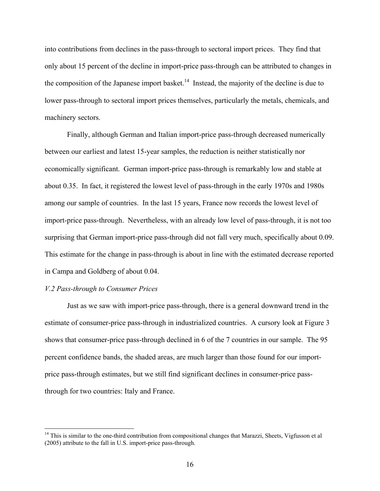into contributions from declines in the pass-through to sectoral import prices. They find that only about 15 percent of the decline in import-price pass-through can be attributed to changes in the composition of the Japanese import basket.<sup>14</sup> Instead, the majority of the decline is due to lower pass-through to sectoral import prices themselves, particularly the metals, chemicals, and machinery sectors.

Finally, although German and Italian import-price pass-through decreased numerically between our earliest and latest 15-year samples, the reduction is neither statistically nor economically significant. German import-price pass-through is remarkably low and stable at about 0.35. In fact, it registered the lowest level of pass-through in the early 1970s and 1980s among our sample of countries. In the last 15 years, France now records the lowest level of import-price pass-through. Nevertheless, with an already low level of pass-through, it is not too surprising that German import-price pass-through did not fall very much, specifically about 0.09. This estimate for the change in pass-through is about in line with the estimated decrease reported in Campa and Goldberg of about 0.04.

### *V.2 Pass-through to Consumer Prices*

 $\overline{a}$ 

 Just as we saw with import-price pass-through, there is a general downward trend in the estimate of consumer-price pass-through in industrialized countries. A cursory look at Figure 3 shows that consumer-price pass-through declined in 6 of the 7 countries in our sample. The 95 percent confidence bands, the shaded areas, are much larger than those found for our importprice pass-through estimates, but we still find significant declines in consumer-price passthrough for two countries: Italy and France.

 $14$  This is similar to the one-third contribution from compositional changes that Marazzi, Sheets, Vigfusson et al (2005) attribute to the fall in U.S. import-price pass-through.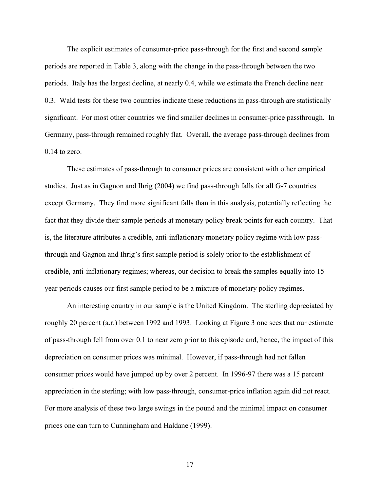The explicit estimates of consumer-price pass-through for the first and second sample periods are reported in Table 3, along with the change in the pass-through between the two periods. Italy has the largest decline, at nearly 0.4, while we estimate the French decline near 0.3. Wald tests for these two countries indicate these reductions in pass-through are statistically significant. For most other countries we find smaller declines in consumer-price passthrough. In Germany, pass-through remained roughly flat. Overall, the average pass-through declines from 0.14 to zero.

 These estimates of pass-through to consumer prices are consistent with other empirical studies. Just as in Gagnon and Ihrig (2004) we find pass-through falls for all G-7 countries except Germany. They find more significant falls than in this analysis, potentially reflecting the fact that they divide their sample periods at monetary policy break points for each country. That is, the literature attributes a credible, anti-inflationary monetary policy regime with low passthrough and Gagnon and Ihrig's first sample period is solely prior to the establishment of credible, anti-inflationary regimes; whereas, our decision to break the samples equally into 15 year periods causes our first sample period to be a mixture of monetary policy regimes.

 An interesting country in our sample is the United Kingdom. The sterling depreciated by roughly 20 percent (a.r.) between 1992 and 1993. Looking at Figure 3 one sees that our estimate of pass-through fell from over 0.1 to near zero prior to this episode and, hence, the impact of this depreciation on consumer prices was minimal. However, if pass-through had not fallen consumer prices would have jumped up by over 2 percent. In 1996-97 there was a 15 percent appreciation in the sterling; with low pass-through, consumer-price inflation again did not react. For more analysis of these two large swings in the pound and the minimal impact on consumer prices one can turn to Cunningham and Haldane (1999).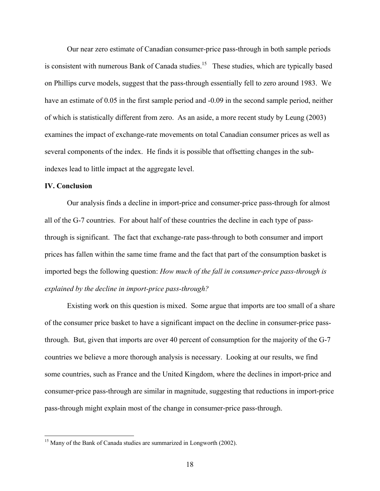Our near zero estimate of Canadian consumer-price pass-through in both sample periods is consistent with numerous Bank of Canada studies.<sup>15</sup> These studies, which are typically based on Phillips curve models, suggest that the pass-through essentially fell to zero around 1983. We have an estimate of 0.05 in the first sample period and -0.09 in the second sample period, neither of which is statistically different from zero. As an aside, a more recent study by Leung (2003) examines the impact of exchange-rate movements on total Canadian consumer prices as well as several components of the index. He finds it is possible that offsetting changes in the subindexes lead to little impact at the aggregate level.

### **IV. Conclusion**

<u>.</u>

 Our analysis finds a decline in import-price and consumer-price pass-through for almost all of the G-7 countries. For about half of these countries the decline in each type of passthrough is significant. The fact that exchange-rate pass-through to both consumer and import prices has fallen within the same time frame and the fact that part of the consumption basket is imported begs the following question: *How much of the fall in consumer-price pass-through is explained by the decline in import-price pass-through?* 

Existing work on this question is mixed. Some argue that imports are too small of a share of the consumer price basket to have a significant impact on the decline in consumer-price passthrough. But, given that imports are over 40 percent of consumption for the majority of the G-7 countries we believe a more thorough analysis is necessary. Looking at our results, we find some countries, such as France and the United Kingdom, where the declines in import-price and consumer-price pass-through are similar in magnitude, suggesting that reductions in import-price pass-through might explain most of the change in consumer-price pass-through.

<sup>&</sup>lt;sup>15</sup> Many of the Bank of Canada studies are summarized in Longworth (2002).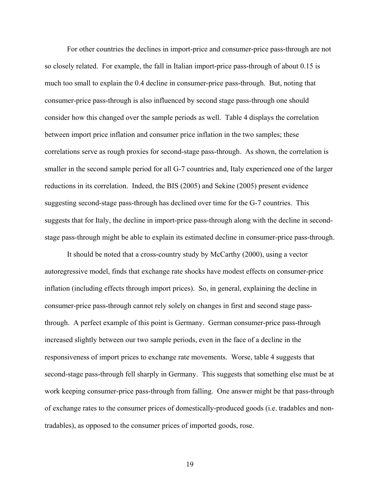For other countries the declines in import-price and consumer-price pass-through are not so closely related. For example, the fall in Italian import-price pass-through of about 0.15 is much too small to explain the 0.4 decline in consumer-price pass-through. But, noting that consumer-price pass-through is also influenced by second stage pass-through one should consider how this changed over the sample periods as well. Table 4 displays the correlation between import price inflation and consumer price inflation in the two samples; these correlations serve as rough proxies for second-stage pass-through. As shown, the correlation is smaller in the second sample period for all G-7 countries and, Italy experienced one of the larger reductions in its correlation. Indeed, the BIS (2005) and Sekine (2005) present evidence suggesting second-stage pass-through has declined over time for the G-7 countries. This suggests that for Italy, the decline in import-price pass-through along with the decline in secondstage pass-through might be able to explain its estimated decline in consumer-price pass-through.

It should be noted that a cross-country study by McCarthy (2000), using a vector autoregressive model, finds that exchange rate shocks have modest effects on consumer-price inflation (including effects through import prices). So, in general, explaining the decline in consumer-price pass-through cannot rely solely on changes in first and second stage passthrough. A perfect example of this point is Germany. German consumer-price pass-through increased slightly between our two sample periods, even in the face of a decline in the responsiveness of import prices to exchange rate movements. Worse, table 4 suggests that second-stage pass-through fell sharply in Germany. This suggests that something else must be at work keeping consumer-price pass-through from falling. One answer might be that pass-through of exchange rates to the consumer prices of domestically-produced goods (i.e. tradables and nontradables), as opposed to the consumer prices of imported goods, rose.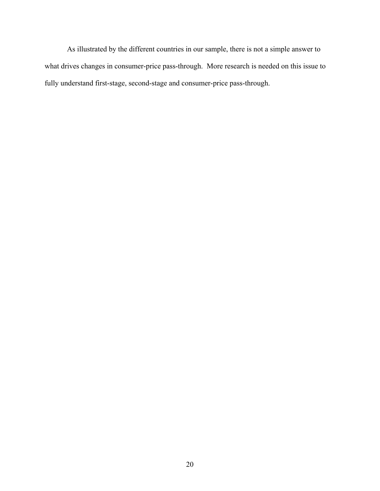As illustrated by the different countries in our sample, there is not a simple answer to what drives changes in consumer-price pass-through. More research is needed on this issue to fully understand first-stage, second-stage and consumer-price pass-through.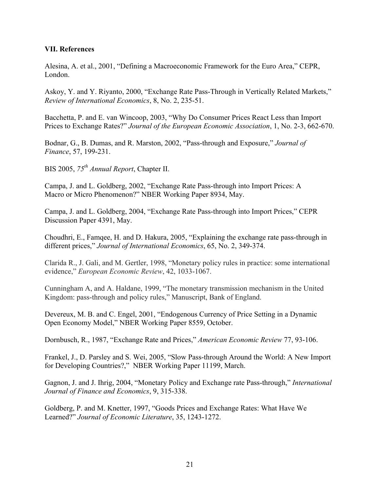### **VII. References**

Alesina, A. et al., 2001, "Defining a Macroeconomic Framework for the Euro Area," CEPR, London.

Askoy, Y. and Y. Riyanto, 2000, "Exchange Rate Pass-Through in Vertically Related Markets," *Review of International Economics*, 8, No. 2, 235-51.

Bacchetta, P. and E. van Wincoop, 2003, "Why Do Consumer Prices React Less than Import Prices to Exchange Rates?" *Journal of the European Economic Association*, 1, No. 2-3, 662-670.

Bodnar, G., B. Dumas, and R. Marston, 2002, "Pass-through and Exposure," *Journal of Finance*, 57, 199-231.

BIS 2005, *75th Annual Report*, Chapter II.

Campa, J. and L. Goldberg, 2002, "Exchange Rate Pass-through into Import Prices: A Macro or Micro Phenomenon?" NBER Working Paper 8934, May.

Campa, J. and L. Goldberg, 2004, "Exchange Rate Pass-through into Import Prices," CEPR Discussion Paper 4391, May.

Choudhri, E., Famqee, H. and D. Hakura, 2005, "Explaining the exchange rate pass-through in different prices," *Journal of International Economics*, 65, No. 2, 349-374.

Clarida R., J. Gali, and M. Gertler, 1998, "Monetary policy rules in practice: some international evidence," *European Economic Review*, 42, 1033-1067.

Cunningham A, and A. Haldane, 1999, "The monetary transmission mechanism in the United Kingdom: pass-through and policy rules," Manuscript, Bank of England.

Devereux, M. B. and C. Engel, 2001, "Endogenous Currency of Price Setting in a Dynamic Open Economy Model," NBER Working Paper 8559, October.

Dornbusch, R., 1987, "Exchange Rate and Prices," *American Economic Review* 77, 93-106.

Frankel, J., D. Parsley and S. Wei, 2005, "Slow Pass-through Around the World: A New Import for Developing Countries?," NBER Working Paper 11199, March.

Gagnon, J. and J. Ihrig, 2004, "Monetary Policy and Exchange rate Pass-through," *International Journal of Finance and Economics*, 9, 315-338.

Goldberg, P. and M. Knetter, 1997, "Goods Prices and Exchange Rates: What Have We Learned?" *Journal of Economic Literature*, 35, 1243-1272.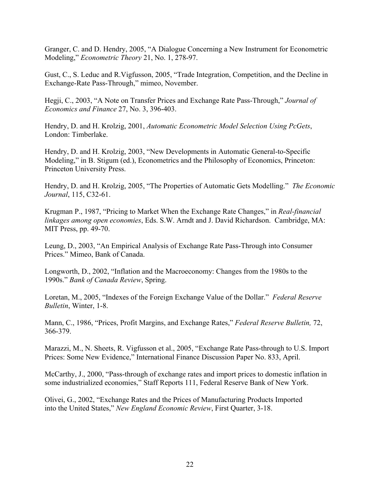Granger, C. and D. Hendry, 2005, "A Dialogue Concerning a New Instrument for Econometric Modeling," *Econometric Theory* 21, No. 1, 278-97.

Gust, C., S. Leduc and R.Vigfusson, 2005, "Trade Integration, Competition, and the Decline in Exchange-Rate Pass-Through," mimeo, November.

Hegji, C., 2003, "A Note on Transfer Prices and Exchange Rate Pass-Through," *Journal of Economics and Finance* 27, No. 3, 396-403.

Hendry, D. and H. Krolzig, 2001, *Automatic Econometric Model Selection Using PcGets*, London: Timberlake.

Hendry, D. and H. Krolzig, 2003, "New Developments in Automatic General-to-Specific Modeling," in B. Stigum (ed.), Econometrics and the Philosophy of Economics, Princeton: Princeton University Press.

Hendry, D. and H. Krolzig, 2005, "The Properties of Automatic Gets Modelling." *The Economic Journal*, 115, C32-61.

Krugman P., 1987, "Pricing to Market When the Exchange Rate Changes," in *Real-financial linkages among open economies*, Eds. S.W. Arndt and J. David Richardson. Cambridge, MA: MIT Press, pp. 49-70.

Leung, D., 2003, "An Empirical Analysis of Exchange Rate Pass-Through into Consumer Prices." Mimeo, Bank of Canada.

Longworth, D., 2002, "Inflation and the Macroeconomy: Changes from the 1980s to the 1990s." *Bank of Canada Review*, Spring.

Loretan, M., 2005, "Indexes of the Foreign Exchange Value of the Dollar." *Federal Reserve Bulletin*, Winter, 1-8.

Mann, C., 1986, "Prices, Profit Margins, and Exchange Rates," *Federal Reserve Bulletin,* 72, 366-379.

Marazzi, M., N. Sheets, R. Vigfusson et al., 2005, "Exchange Rate Pass-through to U.S. Import Prices: Some New Evidence," International Finance Discussion Paper No. 833, April.

McCarthy, J., 2000, "Pass-through of exchange rates and import prices to domestic inflation in some industrialized economies," Staff Reports 111, Federal Reserve Bank of New York.

Olivei, G., 2002, "Exchange Rates and the Prices of Manufacturing Products Imported into the United States," *New England Economic Review*, First Quarter, 3-18.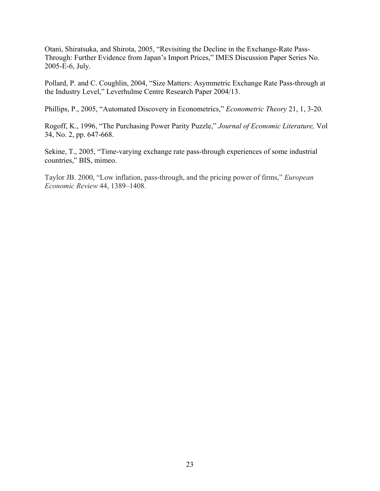Otani, Shiratsuka, and Shirota, 2005, "Revisiting the Decline in the Exchange-Rate Pass-Through: Further Evidence from Japan's Import Prices," IMES Discussion Paper Series No. 2005-E-6, July.

Pollard, P. and C. Coughlin, 2004, "Size Matters: Asymmetric Exchange Rate Pass-through at the Industry Level," Leverhulme Centre Research Paper 2004/13.

Phillips, P., 2005, "Automated Discovery in Econometrics," *Econometric Theory* 21, 1, 3-20.

Rogoff, K., 1996, "The Purchasing Power Parity Puzzle," *Journal of Economic Literature,* Vol 34, No. 2, pp. 647-668.

Sekine, T., 2005, "Time-varying exchange rate pass-through experiences of some industrial countries," BIS, mimeo.

Taylor JB. 2000, "Low inflation, pass-through, and the pricing power of firms," *European Economic Review* 44, 1389–1408.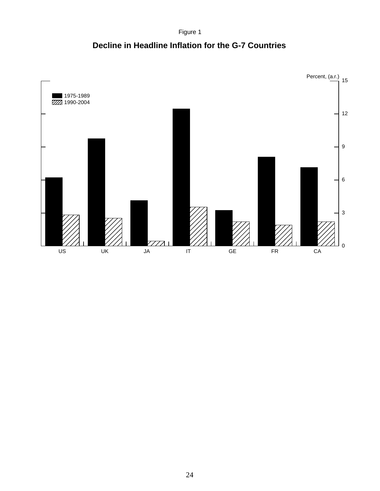**Decline in Headline Inflation for the G-7 Countries**

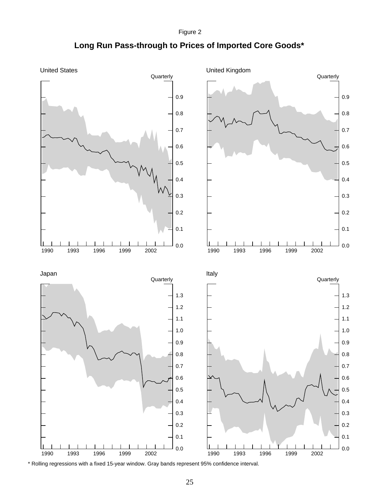

**Long Run Pass-through to Prices of Imported Core Goods\***

\* Rolling regressions with a fixed 15-year window. Gray bands represent 95% confidence interval.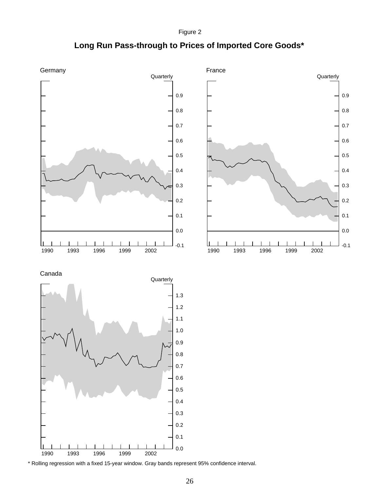

### **Long Run Pass-through to Prices of Imported Core Goods\***

\* Rolling regression with a fixed 15-year window. Gray bands represent 95% confidence interval.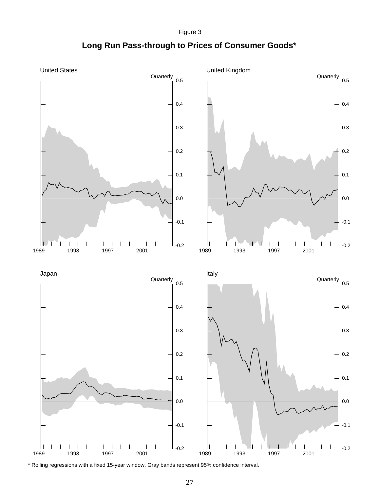

**Long Run Pass-through to Prices of Consumer Goods\***

\* Rolling regressions with a fixed 15-year window. Gray bands represent 95% confidence interval.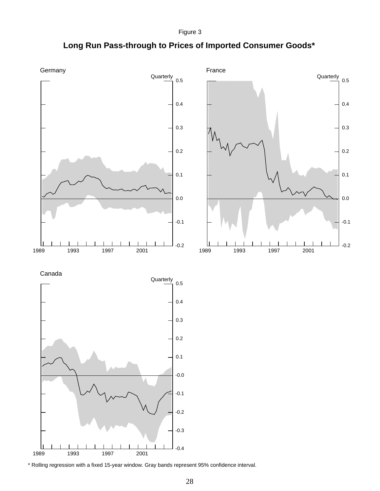Figure 3



**Long Run Pass-through to Prices of Imported Consumer Goods\***

\* Rolling regression with a fixed 15-year window. Gray bands represent 95% confidence interval.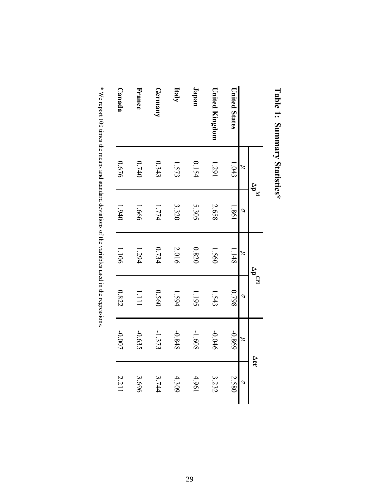|                       | $\Delta p^M$ |       | $\Delta \mathbf{p}^{\rm CPI}$ |                | <b>Aer</b> |              |
|-----------------------|--------------|-------|-------------------------------|----------------|------------|--------------|
|                       | Z            | q     | Z                             | $\overline{Q}$ | Z          | $\mathsf{Q}$ |
| <b>United States</b>  | 1.043        | 1.861 | 1.148                         | 862.0          | -0.869     | 2.580        |
| <b>United Kingdom</b> | 1.291        | 2.658 | 1.560                         | 1.543          | $-0.046$   | 3.232        |
| uede <sub>f</sub>     | 0.154        | 5.305 | 0.820                         | 1.195          | -1.608     | 4.961        |
| Italy                 | 1.573        | 3.320 | 2.016                         | 1.594          | $-0.848$   | 4.309        |
| Germany               | 0.343        | 1.774 | 0.734                         | 0.560          | $-1.373$   | 3.744        |
| France                | 0.740        | 1.666 | 1.294                         | 1111           | -0.635     | 3.696        |
| Canada                | 0.676        | 1.940 | 1.106                         | 0.822          | $-0.007$   | 2.211        |
|                       |              |       |                               |                |            |              |

Table 1: Summary Statistics\* **Table 1: Summary Statistics\***

\* We report 100 times the means and standard deviations of the variables used in the regressions. \* We report 100 times the means and standard deviations of the variables used in the regressions.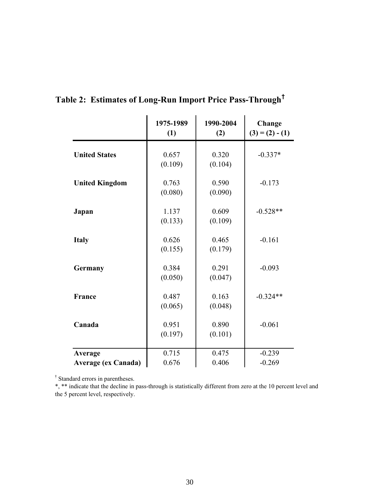|                            | 1975-1989<br>(1) | 1990-2004<br>(2) | Change<br>$(3) = (2) - (1)$ |
|----------------------------|------------------|------------------|-----------------------------|
| <b>United States</b>       | 0.657            | 0.320            | $-0.337*$                   |
|                            | (0.109)          | (0.104)          |                             |
| <b>United Kingdom</b>      | 0.763            | 0.590            | $-0.173$                    |
|                            | (0.080)          | (0.090)          |                             |
| Japan                      | 1.137            | 0.609            | $-0.528**$                  |
|                            | (0.133)          | (0.109)          |                             |
| <b>Italy</b>               | 0.626            | 0.465            | $-0.161$                    |
|                            | (0.155)          | (0.179)          |                             |
| Germany                    | 0.384            | 0.291            | $-0.093$                    |
|                            | (0.050)          | (0.047)          |                             |
| <b>France</b>              | 0.487            | 0.163            | $-0.324**$                  |
|                            | (0.065)          | (0.048)          |                             |
| Canada                     | 0.951            | 0.890            | $-0.061$                    |
|                            | (0.197)          | (0.101)          |                             |
| Average                    | 0.715            | 0.475            | $-0.239$                    |
| <b>Average (ex Canada)</b> | 0.676            | 0.406            | $-0.269$                    |

**Table 2: Estimates of Long-Run Import Price Pass-Through†**

† Standard errors in parentheses.

\*, \*\* indicate that the decline in pass-through is statistically different from zero at the 10 percent level and the 5 percent level, respectively.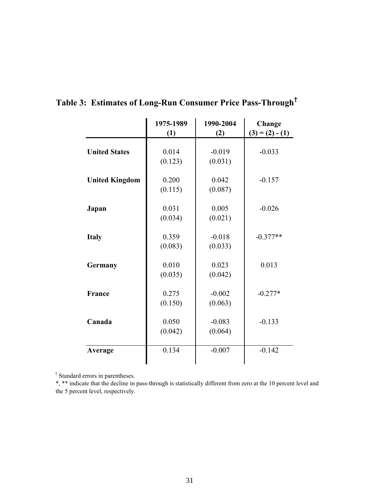|                       | 1975-1989<br>(1) | 1990-2004<br>(2)    | Change<br>$(3) = (2) - (1)$ |
|-----------------------|------------------|---------------------|-----------------------------|
| <b>United States</b>  | 0.014<br>(0.123) | $-0.019$<br>(0.031) | $-0.033$                    |
| <b>United Kingdom</b> | 0.200<br>(0.115) | 0.042<br>(0.087)    | $-0.157$                    |
| Japan                 | 0.031<br>(0.034) | 0.005<br>(0.021)    | $-0.026$                    |
| <b>Italy</b>          | 0.359<br>(0.083) | $-0.018$<br>(0.033) | $-0.377**$                  |
| Germany               | 0.010<br>(0.035) | 0.023<br>(0.042)    | 0.013                       |
| <b>France</b>         | 0.275<br>(0.150) | $-0.002$<br>(0.063) | $-0.277*$                   |
| Canada                | 0.050<br>(0.042) | $-0.083$<br>(0.064) | $-0.133$                    |
| Average               | 0.134            | $-0.007$            | $-0.142$                    |

**Table 3: Estimates of Long-Run Consumer Price Pass-Through†**

† Standard errors in parentheses.

\*, \*\* indicate that the decline in pass-through is statistically different from zero at the 10 percent level and the 5 percent level, respectively.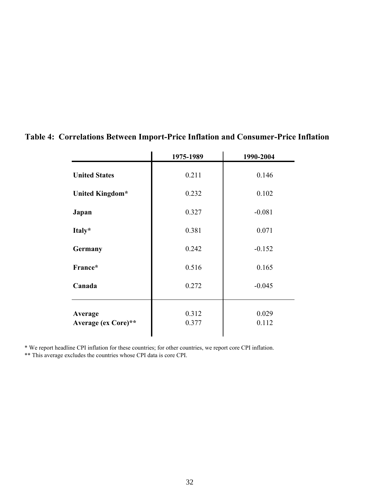|                                       | 1975-1989      | 1990-2004      |
|---------------------------------------|----------------|----------------|
| <b>United States</b>                  | 0.211          | 0.146          |
| United Kingdom*                       | 0.232          | 0.102          |
| Japan                                 | 0.327          | $-0.081$       |
| Italy*                                | 0.381          | 0.071          |
| Germany                               | 0.242          | $-0.152$       |
| France*                               | 0.516          | 0.165          |
| Canada                                | 0.272          | $-0.045$       |
| Average<br><b>Average (ex Core)**</b> | 0.312<br>0.377 | 0.029<br>0.112 |

### **Table 4: Correlations Between Import-Price Inflation and Consumer-Price Inflation**

\* We report headline CPI inflation for these countries; for other countries, we report core CPI inflation.

\*\* This average excludes the countries whose CPI data is core CPI.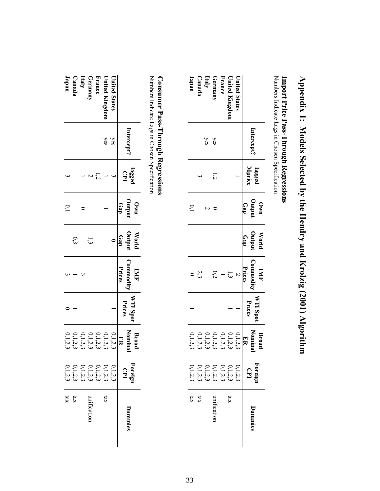# Appendix 1: Models Selected by the Hendry and Krolzig (2001) Algorithm **Appendix 1: Models Selected by the Hendry and Krolzig (2001) Algorithm**

## Import Price Pass-Through Regressions **Import Price Pass-Through Regressions**

Numbers Indicate Lags in Chosen Specification Numbers Indicate Lags in Chosen Specification

|                                      | Intercept. | lagged<br>Mprice | Output<br>Gap<br><b>UWD</b> | World<br>Output | bommol<br>Prices<br>$\blacksquare$ | WTI Spot<br>Prices | <b>Broad</b><br>Nominst<br>ER | Foreign<br>CPI | Dummies   |
|--------------------------------------|------------|------------------|-----------------------------|-----------------|------------------------------------|--------------------|-------------------------------|----------------|-----------|
| <b>Juited States</b>                 |            |                  |                             |                 |                                    |                    |                               |                |           |
| <b>United Kingdor</b>                |            |                  |                             |                 |                                    |                    |                               |                | $x_{21}$  |
|                                      |            |                  |                             |                 |                                    |                    |                               |                |           |
| France<br>Germany<br>Ltaly<br>Canada |            | $\overline{1,2}$ |                             |                 | 0,2                                |                    |                               |                | mificatic |
|                                      | yes<br>yes |                  |                             |                 |                                    |                    |                               |                |           |
|                                      |            |                  |                             |                 | 2,3                                |                    |                               |                | $x_{2}$   |
| <b>Japan</b>                         |            |                  |                             |                 |                                    |                    |                               |                | $x_{21}$  |

### Consumer Pass-Through Regressions **Consumer Pass-Through Regressions**

Numbers Indicate Lags in Chosen Specification Numbers Indicate Lags in Chosen Specification

|                            | Intercept | lagged<br>CPI | putput<br><b>UWO</b><br>Ga | <b>World</b><br>Output<br>Ga | bommo!<br>Prices<br>$\mathbb{N}$ | WTI Spot<br>Prices | <b>Broad</b><br><b>Nomin:</b><br>圐                                                                                                                                                                                                      | Foreign<br>CPI | Dummies    |
|----------------------------|-----------|---------------|----------------------------|------------------------------|----------------------------------|--------------------|-----------------------------------------------------------------------------------------------------------------------------------------------------------------------------------------------------------------------------------------|----------------|------------|
| <b>Juited States</b>       | yes       |               |                            |                              |                                  |                    |                                                                                                                                                                                                                                         |                |            |
| <b>United Kingdon</b>      | λes       |               |                            |                              |                                  |                    |                                                                                                                                                                                                                                         |                | $x_{21}$   |
| France                     |           |               |                            |                              |                                  |                    |                                                                                                                                                                                                                                         |                |            |
|                            |           |               |                            | ت:<br>سا                     |                                  |                    |                                                                                                                                                                                                                                         |                | unificatic |
| Germany<br>Italy<br>Canada |           |               |                            |                              |                                  |                    | $\begin{array}{l} 0\,1\,1\,2\,1\,2\,1\,2\,1\,2\,1\,2\,1\,2\,1\,2\,1\,2\,1\,2\,1\,2\,1\,2\,1\,2\,1\,2\,1\,2\,1\,2\,1\,2\,1\,2\,1\,2\,1\,2\,1\,2\,1\,2\,1\,2\,1\,2\,1\,2\,1\,2\,1\,2\,1\,2\,1\,2\,1\,2\,1\,2\,1\,2\,1\,2\,1\,2\,1\,2\,1\$ |                |            |
|                            |           |               |                            | 0.3                          |                                  |                    |                                                                                                                                                                                                                                         |                | $x_{2}$    |
| <b>Japan</b>               |           |               |                            |                              |                                  |                    |                                                                                                                                                                                                                                         |                | $x_{1}$    |